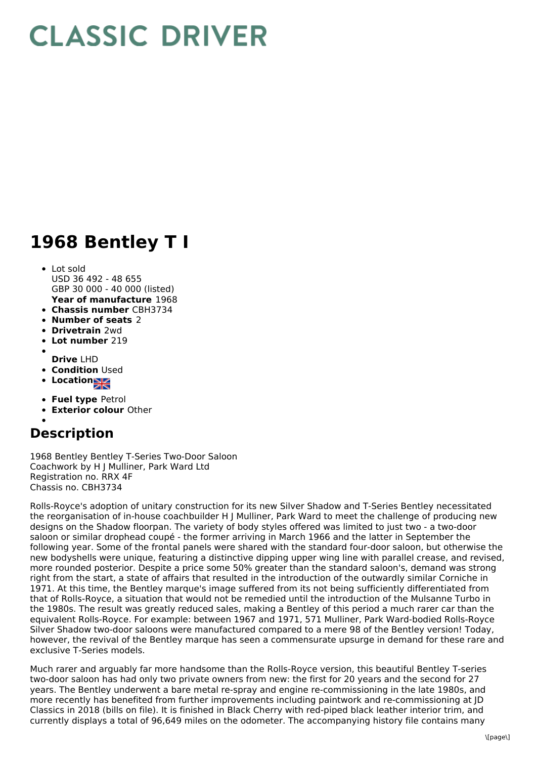## **CLASSIC DRIVER**

## **1968 Bentley T I**

- **Year of manufacture** 1968 • Lot sold USD 36 492 - 48 655 GBP 30 000 - 40 000 (listed)
- **Chassis number** CBH3734
- **Number of seats** 2
- **Drivetrain** 2wd
- **Lot number** 219
- 
- **Drive** LHD **• Condition** Used
- 
- Location<sub>NK</sub>
- **Fuel type** Petrol
- **Exterior colour** Other

## **Description**

1968 Bentley Bentley T-Series Two-Door Saloon Coachwork by H J Mulliner, Park Ward Ltd Registration no. RRX 4F Chassis no. CBH3734

Rolls-Royce's adoption of unitary construction for its new Silver Shadow and T-Series Bentley necessitated the reorganisation of in-house coachbuilder H J Mulliner, Park Ward to meet the challenge of producing new designs on the Shadow floorpan. The variety of body styles offered was limited to just two - a two-door saloon or similar drophead coupé - the former arriving in March 1966 and the latter in September the following year. Some of the frontal panels were shared with the standard four-door saloon, but otherwise the new bodyshells were unique, featuring a distinctive dipping upper wing line with parallel crease, and revised, more rounded posterior. Despite a price some 50% greater than the standard saloon's, demand was strong right from the start, a state of affairs that resulted in the introduction of the outwardly similar Corniche in 1971. At this time, the Bentley marque's image suffered from its not being sufficiently differentiated from that of Rolls-Royce, a situation that would not be remedied until the introduction of the Mulsanne Turbo in the 1980s. The result was greatly reduced sales, making a Bentley of this period a much rarer car than the equivalent Rolls-Royce. For example: between 1967 and 1971, 571 Mulliner, Park Ward-bodied Rolls-Royce Silver Shadow two-door saloons were manufactured compared to a mere 98 of the Bentley version! Today, however, the revival of the Bentley marque has seen a commensurate upsurge in demand for these rare and exclusive T-Series models.

Much rarer and arguably far more handsome than the Rolls-Royce version, this beautiful Bentley T-series two-door saloon has had only two private owners from new: the first for 20 years and the second for 27 years. The Bentley underwent a bare metal re-spray and engine re-commissioning in the late 1980s, and more recently has benefited from further improvements including paintwork and re-commissioning at JD Classics in 2018 (bills on file). It is finished in Black Cherry with red-piped black leather interior trim, and currently displays a total of 96,649 miles on the odometer. The accompanying history file contains many